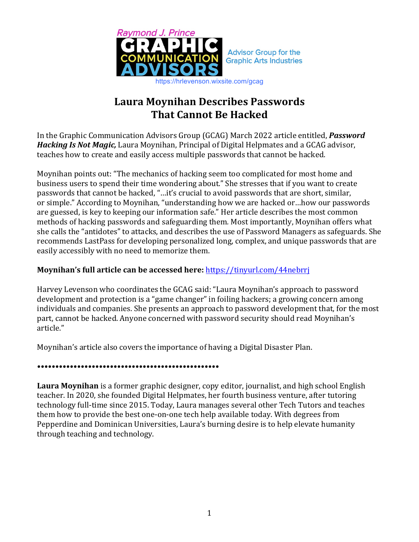

# **Laura Moynihan Describes Passwords That Cannot Be Hacked**

In the Graphic Communication Advisors Group (GCAG) March 2022 article entitled, *Password Hacking Is Not Magic,* Laura Moynihan, Principal of Digital Helpmates and a GCAG advisor, teaches how to create and easily access multiple passwords that cannot be hacked.

Moynihan points out: "The mechanics of hacking seem too complicated for most home and business users to spend their time wondering about." She stresses that if you want to create passwords that cannot be hacked, "...it's crucial to avoid passwords that are short, similar, or simple." According to Moynihan, "understanding how we are hacked or...how our passwords are guessed, is key to keeping our information safe." Her article describes the most common methods of hacking passwords and safeguarding them. Most importantly, Moynihan offers what she calls the "antidotes" to attacks, and describes the use of Password Managers as safeguards. She recommends LastPass for developing personalized long, complex, and unique passwords that are easily accessibly with no need to memorize them.

## **Moynihan's full article can be accessed here:** https://tinyurl.com/44nebrrj

Harvey Levenson who coordinates the GCAG said: "Laura Moynihan's approach to password development and protection is a "game changer" in foiling hackers; a growing concern among individuals and companies. She presents an approach to password development that, for the most part, cannot be hacked. Anyone concerned with password security should read Moynihan's article."

Moynihan's article also covers the importance of having a Digital Disaster Plan.

### **••••••••••••••••••••••••••••••••••••••••••••••••••**

**Laura Moynihan** is a former graphic designer, copy editor, journalist, and high school English teacher. In 2020, she founded Digital Helpmates, her fourth business venture, after tutoring technology full-time since 2015. Today, Laura manages several other Tech Tutors and teaches them how to provide the best one-on-one tech help available today. With degrees from Pepperdine and Dominican Universities, Laura's burning desire is to help elevate humanity through teaching and technology.